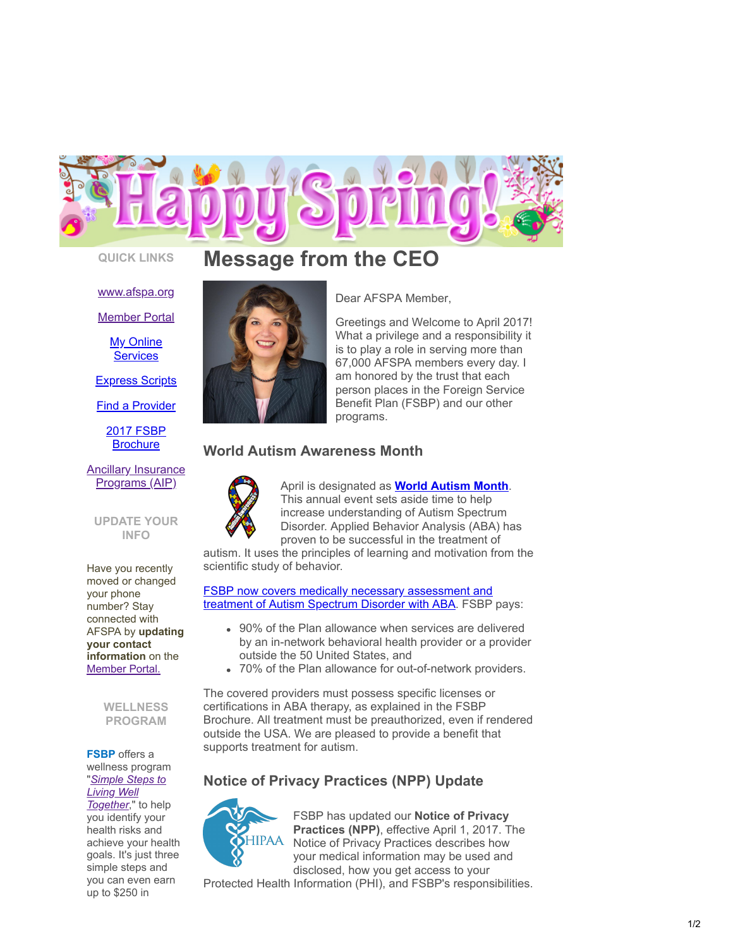

### [www.afspa.org](http://www.afspa.org/)

[Member Portal](https://secure.myafspa.org/)

**[My Online](https://member.cvty.com/memberPortalWeb/appmanager/memberPortal/member) Services** 

[Express Scripts](https://www.express-scripts.com/consumer/site/home?partner=FSBP&accessLink=FSBPDCC)

[Find a Provider](http://fsbp.coventryhealthcare.com/member-support/locate-a-provider/index.htm?)

[2017 FSBP](https://www.afspa.org/filestoreAFSPA/2017RI72-001FSBPBrochure.pdf) **Brochure** 

[Ancillary Insurance](https://www.afspa.org/aip_home.cfm) Programs (AIP)

### **UPDATE YOUR INFO**

Have you recently moved or changed your phone number? Stay connected with AFSPA by **updating your contact information** on the [Member Portal.](https://secure.myafspa.org/)

> **WELLNESS PROGRAM**

### **FSBP** offers a wellness program "*[Simple Steps to](https://www.afspa.org/fsbp_detail.cfm?page=Health-Programs) Living Well*

*Together*," to help you identify your health risks and achieve your health goals. It's just three simple steps and you can even earn up to \$250 in

# **QUICK LINKS Message from the CEO**



Dear AFSPA Member ,

Greetings and Welcome to April 2017! What a privilege and a responsibility it is to play a role in serving more than 67,000 AFSPA members every day. I am honored by the trust that each person places in the Foreign Service Benefit Plan (FSBP) and our other programs.

## **World Autism Awareness Month**



April is designated as **[World Autism Month](https://www.autismspeaks.org/site-wide/world-autism-month)**. This annual event sets aside time to help increase understanding of Autism Spectrum Disorder. Applied Behavior Analysis (ABA) has proven to be successful in the treatment of autism. It uses the principles of learning and motivation from the

scientific study of behavior.

[FSBP now covers medically necessary assessment and](https://www.afspa.org/filestoreAFSPA/2017RI72-001FSBPBrochure.pdf#page=71) treatment of Autism Spectrum Disorder with ABA. FSBP pays:

- 90% of the Plan allowance when services are delivered by an in-network behavioral health provider or a provider outside the 50 United States, and
- 70% of the Plan allowance for out-of-network providers.

The covered providers must possess specific licenses or certifications in ABA therapy, as explained in the FSBP Brochure. All treatment must be preauthorized, even if rendered outside the USA. We are pleased to provide a benefit that supports treatment for autism.

# **Notice of Privacy Practices (NPP) Update**



FSBP has updated our **Notice of Privacy Practices (NPP)**, effective April 1, 2017. The Notice of Privacy Practices describes how your medical information may be used and disclosed, how you get access to your

Protected Health Information (PHI), and FSBP's responsibilities.